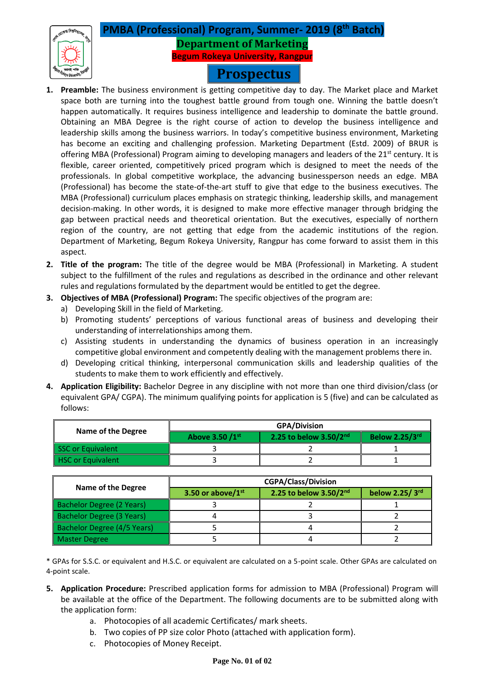# **PMBA (Professional) Program, Summer- 2019 (8 th Batch) Department of Marketing Begum Rokeya University, Rangpur**

# **Prospectus**

- **1. Preamble:** The business environment is getting competitive day to day. The Market place and Market space both are turning into the toughest battle ground from tough one. Winning the battle doesn't happen automatically. It requires business intelligence and leadership to dominate the battle ground. Obtaining an MBA Degree is the right course of action to develop the business intelligence and leadership skills among the business warriors. In today's competitive business environment, Marketing has become an exciting and challenging profession. Marketing Department (Estd. 2009) of BRUR is offering MBA (Professional) Program aiming to developing managers and leaders of the 21<sup>st</sup> century. It is flexible, career oriented, competitively priced program which is designed to meet the needs of the professionals. In global competitive workplace, the advancing businessperson needs an edge. MBA (Professional) has become the state-of-the-art stuff to give that edge to the business executives. The MBA (Professional) curriculum places emphasis on strategic thinking, leadership skills, and management decision-making. In other words, it is designed to make more effective manager through bridging the gap between practical needs and theoretical orientation. But the executives, especially of northern region of the country, are not getting that edge from the academic institutions of the region. Department of Marketing, Begum Rokeya University, Rangpur has come forward to assist them in this aspect.
- **2. Title of the program:** The title of the degree would be MBA (Professional) in Marketing. A student subject to the fulfillment of the rules and regulations as described in the ordinance and other relevant rules and regulations formulated by the department would be entitled to get the degree.
- **3. Objectives of MBA (Professional) Program:** The specific objectives of the program are:
	- a) Developing Skill in the field of Marketing.
	- b) Promoting students' perceptions of various functional areas of business and developing their understanding of interrelationships among them.
	- c) Assisting students in understanding the dynamics of business operation in an increasingly competitive global environment and competently dealing with the management problems there in.
	- d) Developing critical thinking, interpersonal communication skills and leadership qualities of the students to make them to work efficiently and effectively.
- **4. Application Eligibility:** Bachelor Degree in any discipline with not more than one third division/class (or equivalent GPA/ CGPA). The minimum qualifying points for application is 5 (five) and can be calculated as follows:

|                          | <b>GPA/Division</b> |                        |                       |
|--------------------------|---------------------|------------------------|-----------------------|
| Name of the Degree       | Above 3.50 /1st     | 2.25 to below 3.50/2nd | <b>Below 2.25/3rd</b> |
| SSC or Equivalent        |                     |                        |                       |
| <b>HSC or Equivalent</b> |                     |                        |                       |

|                             | <b>CGPA/Class/Division</b> |                             |                |
|-----------------------------|----------------------------|-----------------------------|----------------|
| <b>Name of the Degree</b>   | 3.50 or above/1st          | 2.25 to below $3.50/2^{nd}$ | below 2.25/3rd |
| Bachelor Degree (2 Years)   |                            |                             |                |
| Bachelor Degree (3 Years)   |                            |                             |                |
| Bachelor Degree (4/5 Years) |                            |                             |                |
| Master Degree               |                            |                             |                |

\* GPAs for S.S.C. or equivalent and H.S.C. or equivalent are calculated on a 5-point scale. Other GPAs are calculated on 4-point scale.

- **5. Application Procedure:** Prescribed application forms for admission to MBA (Professional) Program will be available at the office of the Department. The following documents are to be submitted along with the application form:
	- a. Photocopies of all academic Certificates/ mark sheets.
	- b. Two copies of PP size color Photo (attached with application form).
	- c. Photocopies of Money Receipt.

#### **Page No. 01 of 02**